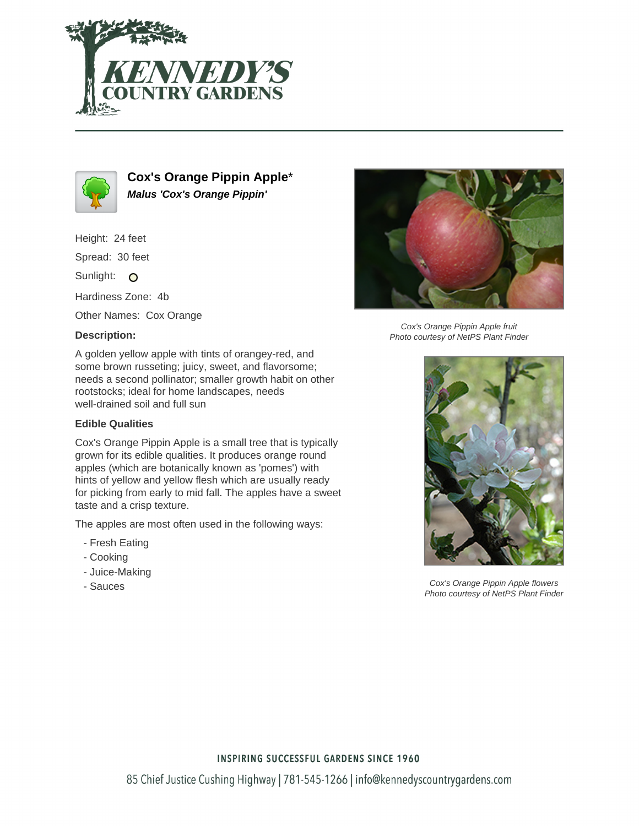



**Cox's Orange Pippin Apple**\* **Malus 'Cox's Orange Pippin'**

Height: 24 feet

Spread: 30 feet

Sunlight: O

Hardiness Zone: 4b

Other Names: Cox Orange

## **Description:**

A golden yellow apple with tints of orangey-red, and some brown russeting; juicy, sweet, and flavorsome; needs a second pollinator; smaller growth habit on other rootstocks; ideal for home landscapes, needs well-drained soil and full sun

## **Edible Qualities**

Cox's Orange Pippin Apple is a small tree that is typically grown for its edible qualities. It produces orange round apples (which are botanically known as 'pomes') with hints of yellow and yellow flesh which are usually ready for picking from early to mid fall. The apples have a sweet taste and a crisp texture.

The apples are most often used in the following ways:

- Fresh Eating
- Cooking
- Juice-Making
- Sauces



Cox's Orange Pippin Apple fruit Photo courtesy of NetPS Plant Finder



Cox's Orange Pippin Apple flowers Photo courtesy of NetPS Plant Finder